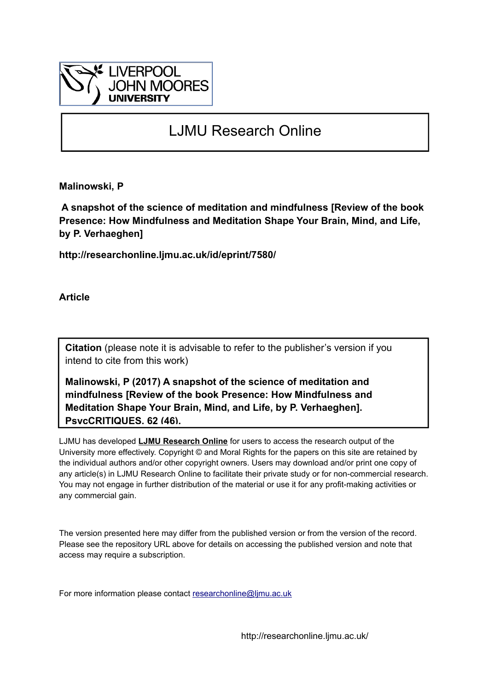

# LJMU Research Online

**Malinowski, P**

 **A snapshot of the science of meditation and mindfulness [Review of the book Presence: How Mindfulness and Meditation Shape Your Brain, Mind, and Life, by P. Verhaeghen]**

**http://researchonline.ljmu.ac.uk/id/eprint/7580/**

**Article**

**Citation** (please note it is advisable to refer to the publisher's version if you intend to cite from this work)

**Malinowski, P (2017) A snapshot of the science of meditation and mindfulness [Review of the book Presence: How Mindfulness and Meditation Shape Your Brain, Mind, and Life, by P. Verhaeghen]. PsycCRITIQUES, 62 (46).** 

LJMU has developed **[LJMU Research Online](http://researchonline.ljmu.ac.uk/)** for users to access the research output of the University more effectively. Copyright © and Moral Rights for the papers on this site are retained by the individual authors and/or other copyright owners. Users may download and/or print one copy of any article(s) in LJMU Research Online to facilitate their private study or for non-commercial research. You may not engage in further distribution of the material or use it for any profit-making activities or any commercial gain.

The version presented here may differ from the published version or from the version of the record. Please see the repository URL above for details on accessing the published version and note that access may require a subscription.

For more information please contact researchonline@limu.ac.uk

http://researchonline.ljmu.ac.uk/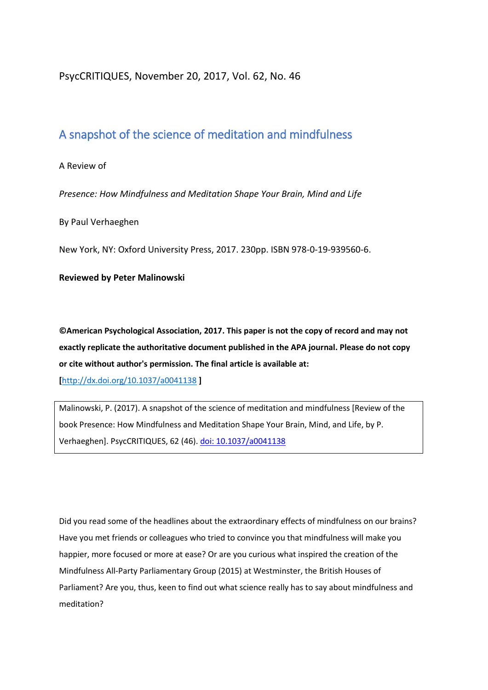#### PsycCRITIQUES, November 20, 2017, Vol. 62, No. 46

## A snapshot of the science of meditation and mindfulness

#### A Review of

*Presence: How Mindfulness and Meditation Shape Your Brain, Mind and Life*

By Paul Verhaeghen

New York, NY: Oxford University Press, 2017. 230pp. ISBN 978-0-19-939560-6.

#### **Reviewed by Peter Malinowski**

**©American Psychological Association, 2017. This paper is not the copy of record and may not exactly replicate the authoritative document published in the APA journal. Please do not copy or cite without author's permission. The final article is available at:** 

**[**<http://dx.doi.org/10.1037/a0041138> **]**

Malinowski, P. (2017). A snapshot of the science of meditation and mindfulness [Review of the book Presence: How Mindfulness and Meditation Shape Your Brain, Mind, and Life, by P. Verhaeghen]. PsycCRITIQUES, 62 (46). [doi: 10.1037/a0041138](http://dx.doi.org/10.1037/a0041138) 

Did you read some of the headlines about the extraordinary effects of mindfulness on our brains? Have you met friends or colleagues who tried to convince you that mindfulness will make you happier, more focused or more at ease? Or are you curious what inspired the creation of the Mindfulness All-Party Parliamentary Group (2015) at Westminster, the British Houses of Parliament? Are you, thus, keen to find out what science really has to say about mindfulness and meditation?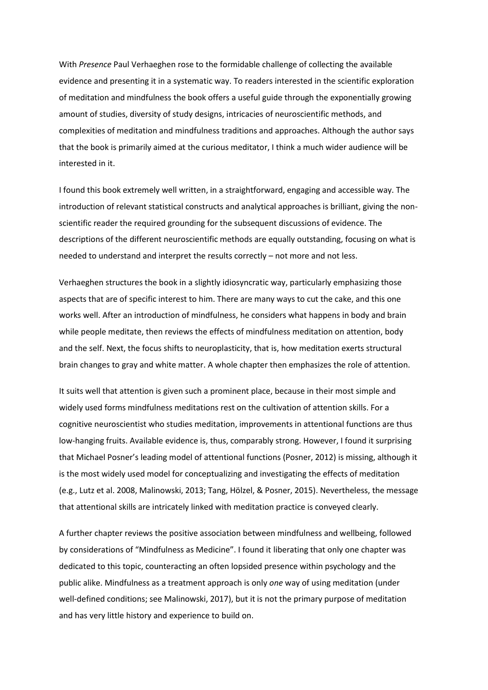With *Presence* Paul Verhaeghen rose to the formidable challenge of collecting the available evidence and presenting it in a systematic way. To readers interested in the scientific exploration of meditation and mindfulness the book offers a useful guide through the exponentially growing amount of studies, diversity of study designs, intricacies of neuroscientific methods, and complexities of meditation and mindfulness traditions and approaches. Although the author says that the book is primarily aimed at the curious meditator, I think a much wider audience will be interested in it.

I found this book extremely well written, in a straightforward, engaging and accessible way. The introduction of relevant statistical constructs and analytical approaches is brilliant, giving the nonscientific reader the required grounding for the subsequent discussions of evidence. The descriptions of the different neuroscientific methods are equally outstanding, focusing on what is needed to understand and interpret the results correctly – not more and not less.

Verhaeghen structures the book in a slightly idiosyncratic way, particularly emphasizing those aspects that are of specific interest to him. There are many ways to cut the cake, and this one works well. After an introduction of mindfulness, he considers what happens in body and brain while people meditate, then reviews the effects of mindfulness meditation on attention, body and the self. Next, the focus shifts to neuroplasticity, that is, how meditation exerts structural brain changes to gray and white matter. A whole chapter then emphasizes the role of attention.

It suits well that attention is given such a prominent place, because in their most simple and widely used forms mindfulness meditations rest on the cultivation of attention skills. For a cognitive neuroscientist who studies meditation, improvements in attentional functions are thus low-hanging fruits. Available evidence is, thus, comparably strong. However, I found it surprising that Michael Posner's leading model of attentional functions (Posner, 2012) is missing, although it is the most widely used model for conceptualizing and investigating the effects of meditation (e.g., Lutz et al. 2008, Malinowski, 2013; Tang, Hölzel, & Posner, 2015). Nevertheless, the message that attentional skills are intricately linked with meditation practice is conveyed clearly.

A further chapter reviews the positive association between mindfulness and wellbeing, followed by considerations of "Mindfulness as Medicine". I found it liberating that only one chapter was dedicated to this topic, counteracting an often lopsided presence within psychology and the public alike. Mindfulness as a treatment approach is only *one* way of using meditation (under well-defined conditions; see Malinowski, 2017), but it is not the primary purpose of meditation and has very little history and experience to build on.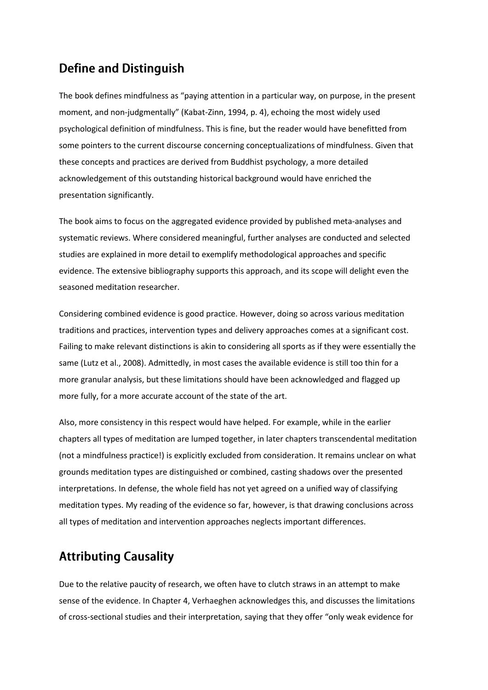## **Define and Distinguish**

The book defines mindfulness as "paying attention in a particular way, on purpose, in the present moment, and non-judgmentally" (Kabat-Zinn, 1994, p. 4), echoing the most widely used psychological definition of mindfulness. This is fine, but the reader would have benefitted from some pointers to the current discourse concerning conceptualizations of mindfulness. Given that these concepts and practices are derived from Buddhist psychology, a more detailed acknowledgement of this outstanding historical background would have enriched the presentation significantly.

The book aims to focus on the aggregated evidence provided by published meta-analyses and systematic reviews. Where considered meaningful, further analyses are conducted and selected studies are explained in more detail to exemplify methodological approaches and specific evidence. The extensive bibliography supports this approach, and its scope will delight even the seasoned meditation researcher.

Considering combined evidence is good practice. However, doing so across various meditation traditions and practices, intervention types and delivery approaches comes at a significant cost. Failing to make relevant distinctions is akin to considering all sports as if they were essentially the same (Lutz et al., 2008). Admittedly, in most cases the available evidence is still too thin for a more granular analysis, but these limitations should have been acknowledged and flagged up more fully, for a more accurate account of the state of the art.

Also, more consistency in this respect would have helped. For example, while in the earlier chapters all types of meditation are lumped together, in later chapters transcendental meditation (not a mindfulness practice!) is explicitly excluded from consideration. It remains unclear on what grounds meditation types are distinguished or combined, casting shadows over the presented interpretations. In defense, the whole field has not yet agreed on a unified way of classifying meditation types. My reading of the evidence so far, however, is that drawing conclusions across all types of meditation and intervention approaches neglects important differences.

# **Attributing Causality**

Due to the relative paucity of research, we often have to clutch straws in an attempt to make sense of the evidence. In Chapter 4, Verhaeghen acknowledges this, and discusses the limitations of cross-sectional studies and their interpretation, saying that they offer "only weak evidence for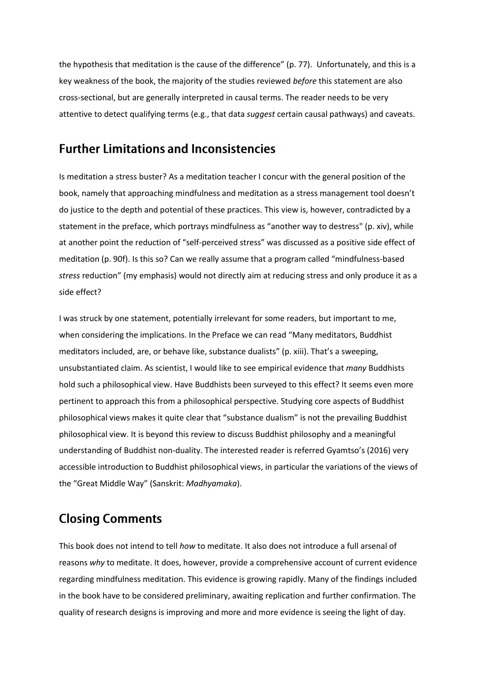the hypothesis that meditation is the cause of the difference" (p. 77). Unfortunately, and this is a key weakness of the book, the majority of the studies reviewed *before* this statement are also cross-sectional, but are generally interpreted in causal terms. The reader needs to be very attentive to detect qualifying terms (e.g., that data *suggest* certain causal pathways) and caveats.

#### **Further Limitations and Inconsistencies**

Is meditation a stress buster? As a meditation teacher I concur with the general position of the book, namely that approaching mindfulness and meditation as a stress management tool doesn't do justice to the depth and potential of these practices. This view is, however, contradicted by a statement in the preface, which portrays mindfulness as "another way to destress" (p. xiv), while at another point the reduction of "self-perceived stress" was discussed as a positive side effect of meditation (p. 90f). Is this so? Can we really assume that a program called "mindfulness-based *stress* reduction" (my emphasis) would not directly aim at reducing stress and only produce it as a side effect?

I was struck by one statement, potentially irrelevant for some readers, but important to me, when considering the implications. In the Preface we can read "Many meditators, Buddhist meditators included, are, or behave like, substance dualists" (p. xiii). That's a sweeping, unsubstantiated claim. As scientist, I would like to see empirical evidence that *many* Buddhists hold such a philosophical view. Have Buddhists been surveyed to this effect? It seems even more pertinent to approach this from a philosophical perspective. Studying core aspects of Buddhist philosophical views makes it quite clear that "substance dualism" is not the prevailing Buddhist philosophical view. It is beyond this review to discuss Buddhist philosophy and a meaningful understanding of Buddhist non-duality. The interested reader is referred Gyamtso's (2016) very accessible introduction to Buddhist philosophical views, in particular the variations of the views of the "Great Middle Way" (Sanskrit: *Madhyamaka*).

## **Closing Comments**

This book does not intend to tell *how* to meditate. It also does not introduce a full arsenal of reasons *why* to meditate. It does, however, provide a comprehensive account of current evidence regarding mindfulness meditation. This evidence is growing rapidly. Many of the findings included in the book have to be considered preliminary, awaiting replication and further confirmation. The quality of research designs is improving and more and more evidence is seeing the light of day.